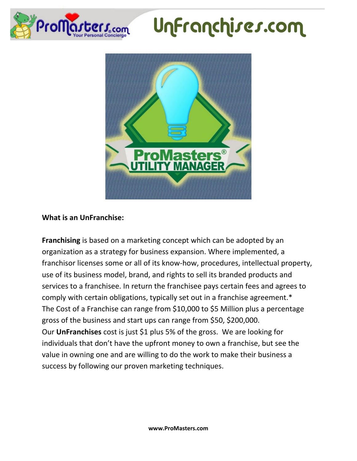

## UnFranchises.com



## **What is an UnFranchise:**

**Franchising** is based on a marketing concept which can be adopted by an organization as a strategy for business expansion. Where implemented, a franchisor licenses some or all of its know-how, procedures, intellectual property, use of its business model, brand, and rights to sell its branded products and services to a franchisee. In return the franchisee pays certain fees and agrees to comply with certain obligations, typically set out in a franchise agreement.\* The Cost of a Franchise can range from \$10,000 to \$5 Million plus a percentage gross of the business and start ups can range from \$50, \$200,000. Our **UnFranchises** cost is just \$1 plus 5% of the gross. We are looking for individuals that don't have the upfront money to own a franchise, but see the value in owning one and are willing to do the work to make their business a success by following our proven marketing techniques.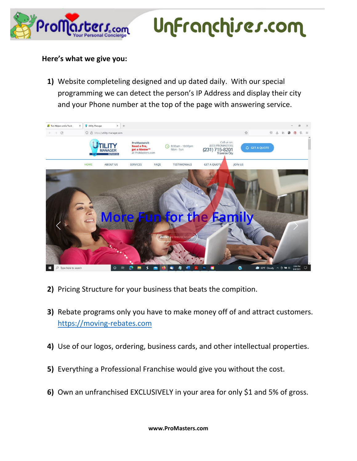

UnFranchises.com

## **Here's what we give you:**

**1)** Website completeling designed and up dated daily. With our special programming we can detect the person's IP Address and display their city and your Phone number at the top of the page with answering service.



- **2)** Pricing Structure for your business that beats the compition.
- **3)** Rebate programs only you have to make money off of and attract customers. [https://moving-rebates.com](https://moving-rebates.com/)
- **4)** Use of our logos, ordering, business cards, and other intellectual properties.
- **5)** Everything a Professional Franchise would give you without the cost.
- **6)** Own an unfranchised EXCLUSIVELY in your area for only \$1 and 5% of gross.

**www.ProMasters.com**